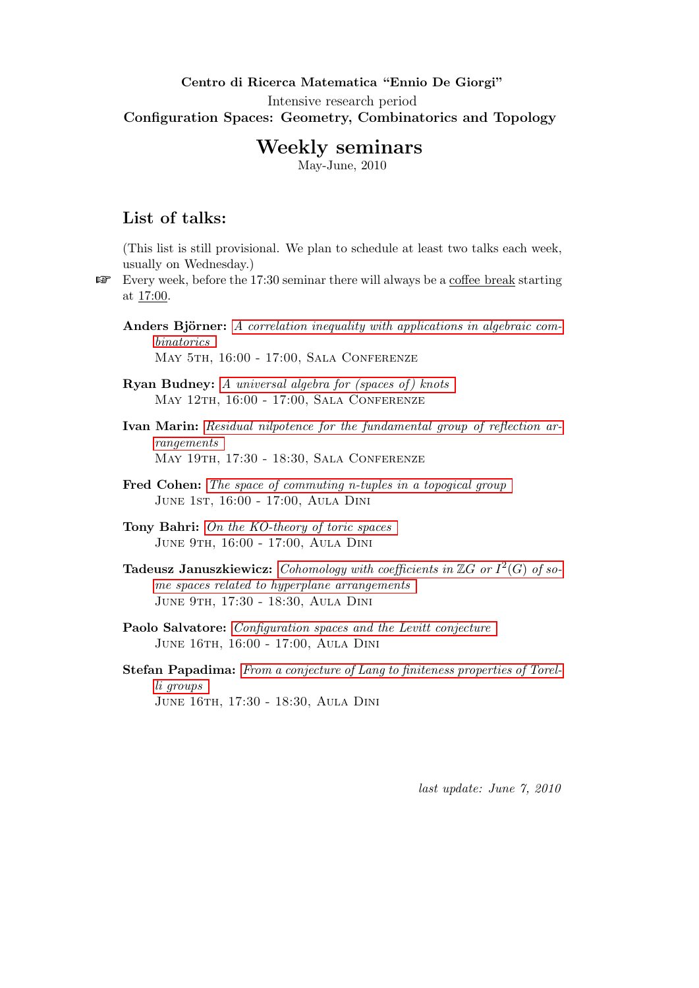## Centro di Ricerca Matematica "Ennio De Giorgi" Intensive research period Configuration Spaces: Geometry, Combinatorics and Topology

# Weekly seminars

May-June, 2010

## <span id="page-0-0"></span>List of talks:

(This list is still provisional. We plan to schedule at least two talks each week, usually on Wednesday.)

Every week, before the 17:30 seminar there will always be a coffee break starting at 17:00.

Anders Björner: [A correlation inequality with applications in algebraic com](#page-1-0)[binatorics](#page-1-0) May 5th, 16:00 - 17:00, Sala Conferenze

**Ryan Budney:** A universal algebra for (spaces of) knots May 12th, 16:00 - 17:00, Sala Conferenze

Ivan Marin: [Residual nilpotence for the fundamental group of reflection ar](#page-2-1)[rangements](#page-2-1) May 19th, 17:30 - 18:30, Sala Conferenze

Fred Cohen: [The space of commuting n-tuples in a topogical group](#page-3-0) June 1st, 16:00 - 17:00, Aula Dini

Tony Bahri: [On the KO-theory of toric spaces](#page-3-1) June 9th, 16:00 - 17:00, Aula Dini

**Tadeusz Januszkiewicz:** [Cohomology with coefficients in](#page-3-2)  $\mathbb{Z}G$  or  $I^2(G)$  of so[me spaces related to hyperplane arrangements](#page-3-2) June 9th, 17:30 - 18:30, Aula Dini

Paolo Salvatore: *[Configuration spaces and the Levitt conjecture](#page-4-0)* June 16th, 16:00 - 17:00, Aula Dini

Stefan Papadima: [From a conjecture of Lang to finiteness properties of Torel](#page-4-1)[li groups](#page-4-1) June 16th, 17:30 - 18:30, Aula Dini

last update: June 7, 2010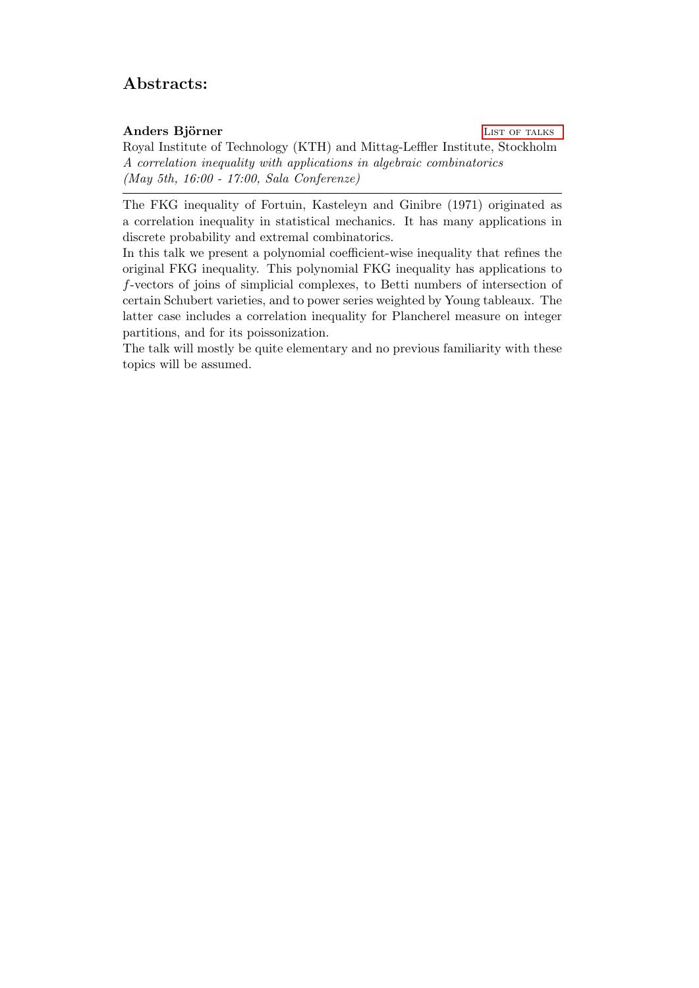## Abstracts:

### <span id="page-1-0"></span>Anders Björner LIST OF TALKS

Royal Institute of Technology (KTH) and Mittag-Leffler Institute, Stockholm A correlation inequality with applications in algebraic combinatorics (May 5th, 16:00 - 17:00, Sala Conferenze)

The FKG inequality of Fortuin, Kasteleyn and Ginibre (1971) originated as a correlation inequality in statistical mechanics. It has many applications in discrete probability and extremal combinatorics.

In this talk we present a polynomial coefficient-wise inequality that refines the original FKG inequality. This polynomial FKG inequality has applications to f-vectors of joins of simplicial complexes, to Betti numbers of intersection of certain Schubert varieties, and to power series weighted by Young tableaux. The latter case includes a correlation inequality for Plancherel measure on integer partitions, and for its poissonization.

The talk will mostly be quite elementary and no previous familiarity with these topics will be assumed.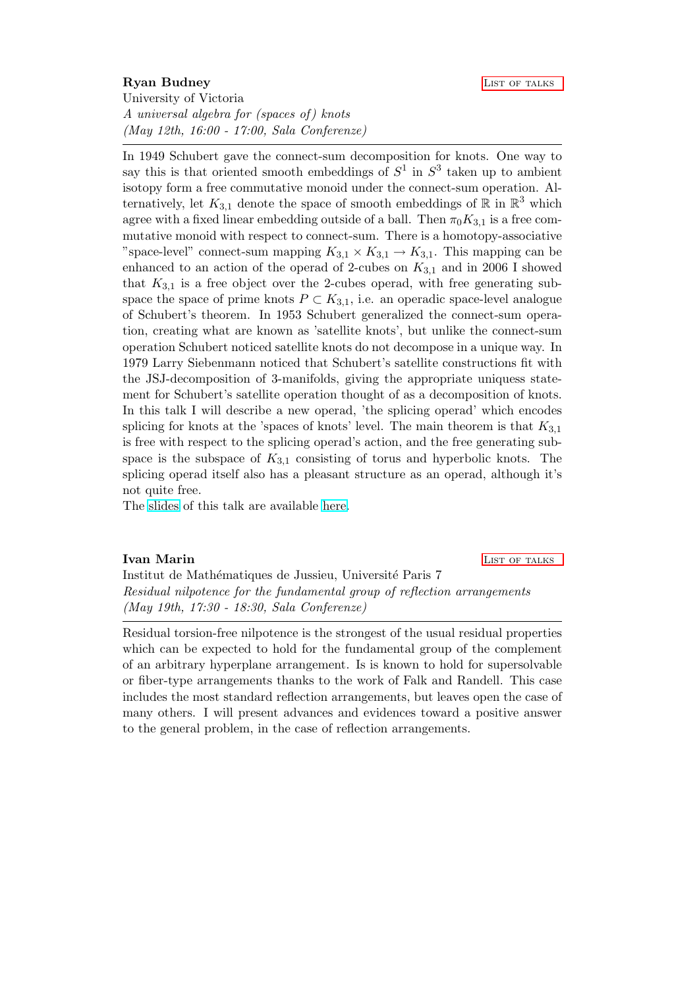#### <span id="page-2-0"></span>Ryan Budney **LIST OF TALKS**

University of Victoria A universal algebra for (spaces of) knots (May 12th, 16:00 - 17:00, Sala Conferenze)

In 1949 Schubert gave the connect-sum decomposition for knots. One way to say this is that oriented smooth embeddings of  $S^1$  in  $S^3$  taken up to ambient isotopy form a free commutative monoid under the connect-sum operation. Alternatively, let  $K_{3,1}$  denote the space of smooth embeddings of  $\mathbb R$  in  $\mathbb R^3$  which agree with a fixed linear embedding outside of a ball. Then  $\pi_0 K_{3,1}$  is a free commutative monoid with respect to connect-sum. There is a homotopy-associative "space-level" connect-sum mapping  $K_{3,1} \times K_{3,1} \to K_{3,1}$ . This mapping can be enhanced to an action of the operad of 2-cubes on  $K_{3,1}$  and in 2006 I showed that  $K_{3,1}$  is a free object over the 2-cubes operad, with free generating subspace the space of prime knots  $P \subset K_{3,1}$ , i.e. an operadic space-level analogue of Schubert's theorem. In 1953 Schubert generalized the connect-sum operation, creating what are known as 'satellite knots', but unlike the connect-sum operation Schubert noticed satellite knots do not decompose in a unique way. In 1979 Larry Siebenmann noticed that Schubert's satellite constructions fit with the JSJ-decomposition of 3-manifolds, giving the appropriate uniquess statement for Schubert's satellite operation thought of as a decomposition of knots. In this talk I will describe a new operad, 'the splicing operad' which encodes splicing for knots at the 'spaces of knots' level. The main theorem is that  $K_{3,1}$ is free with respect to the splicing operad's action, and the free generating subspace is the subspace of  $K_{3,1}$  consisting of torus and hyperbolic knots. The splicing operad itself also has a pleasant structure as an operad, although it's not quite free.

The [slides](http://www.crm.sns.it/download/eventi/121/summer_2010.pdf) of this talk are available [here.](http://www.crm.sns.it/download/eventi/121/summer_2010.pdf)

#### <span id="page-2-1"></span>**Ivan Marin [List of talks](#page-0-0)** and the contract of the contract of the contract of the contract of the contract of the contract of the contract of the contract of the contract of the contract of the contract of the contract of

Institut de Mathématiques de Jussieu, Université Paris 7 Residual nilpotence for the fundamental group of reflection arrangements (May 19th, 17:30 - 18:30, Sala Conferenze)

Residual torsion-free nilpotence is the strongest of the usual residual properties which can be expected to hold for the fundamental group of the complement of an arbitrary hyperplane arrangement. Is is known to hold for supersolvable or fiber-type arrangements thanks to the work of Falk and Randell. This case includes the most standard reflection arrangements, but leaves open the case of many others. I will present advances and evidences toward a positive answer to the general problem, in the case of reflection arrangements.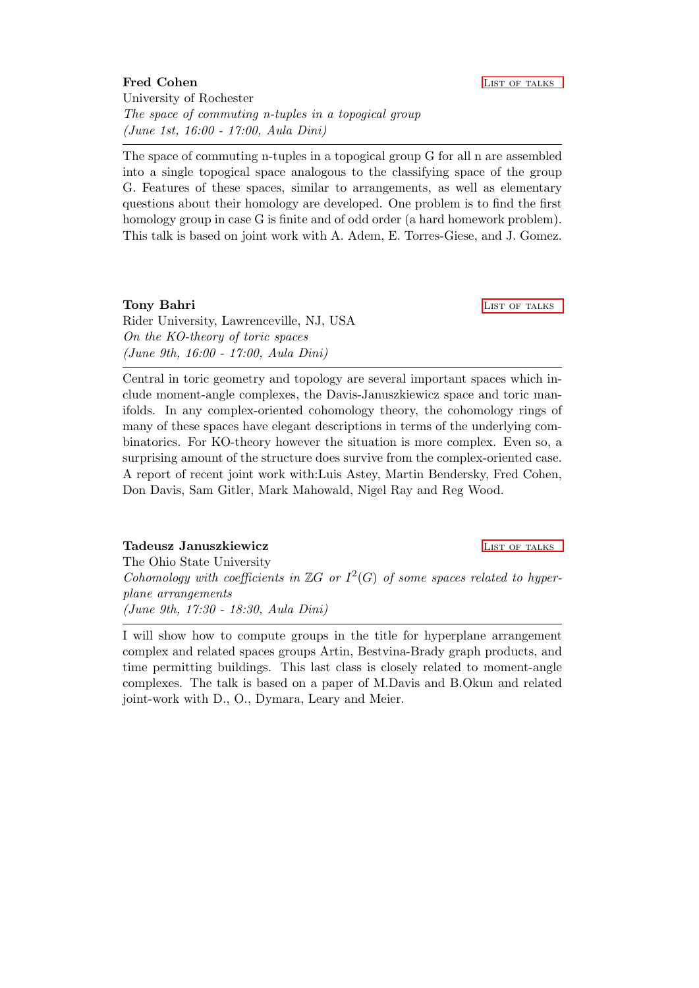## <span id="page-3-0"></span>Fred Cohen **[List of talks](#page-0-0)** List of talks University of Rochester The space of commuting n-tuples in a topogical group (June 1st, 16:00 - 17:00, Aula Dini)

The space of commuting n-tuples in a topogical group G for all n are assembled into a single topogical space analogous to the classifying space of the group G. Features of these spaces, similar to arrangements, as well as elementary questions about their homology are developed. One problem is to find the first homology group in case G is finite and of odd order (a hard homework problem). This talk is based on joint work with A. Adem, E. Torres-Giese, and J. Gomez.

## <span id="page-3-1"></span>Tony Bahri **[List of talks](#page-0-0)** and the List of talks of talks and the List of talks of talks and the List of talks of talks and the List of talks and the List of talks and the List of talks and the List of talks and the List o

Rider University, Lawrenceville, NJ, USA On the KO-theory of toric spaces (June 9th, 16:00 - 17:00, Aula Dini)

Central in toric geometry and topology are several important spaces which include moment-angle complexes, the Davis-Januszkiewicz space and toric manifolds. In any complex-oriented cohomology theory, the cohomology rings of many of these spaces have elegant descriptions in terms of the underlying combinatorics. For KO-theory however the situation is more complex. Even so, a surprising amount of the structure does survive from the complex-oriented case. A report of recent joint work with:Luis Astey, Martin Bendersky, Fred Cohen, Don Davis, Sam Gitler, Mark Mahowald, Nigel Ray and Reg Wood.

#### <span id="page-3-2"></span>Tadeusz Januszkiewicz **List of the UST of the UST of talks**

The Ohio State University

Cohomology with coefficients in  $\mathbb{Z}G$  or  $I^2(G)$  of some spaces related to hyperplane arrangements (June 9th, 17:30 - 18:30, Aula Dini)

I will show how to compute groups in the title for hyperplane arrangement complex and related spaces groups Artin, Bestvina-Brady graph products, and time permitting buildings. This last class is closely related to moment-angle complexes. The talk is based on a paper of M.Davis and B.Okun and related joint-work with D., O., Dymara, Leary and Meier.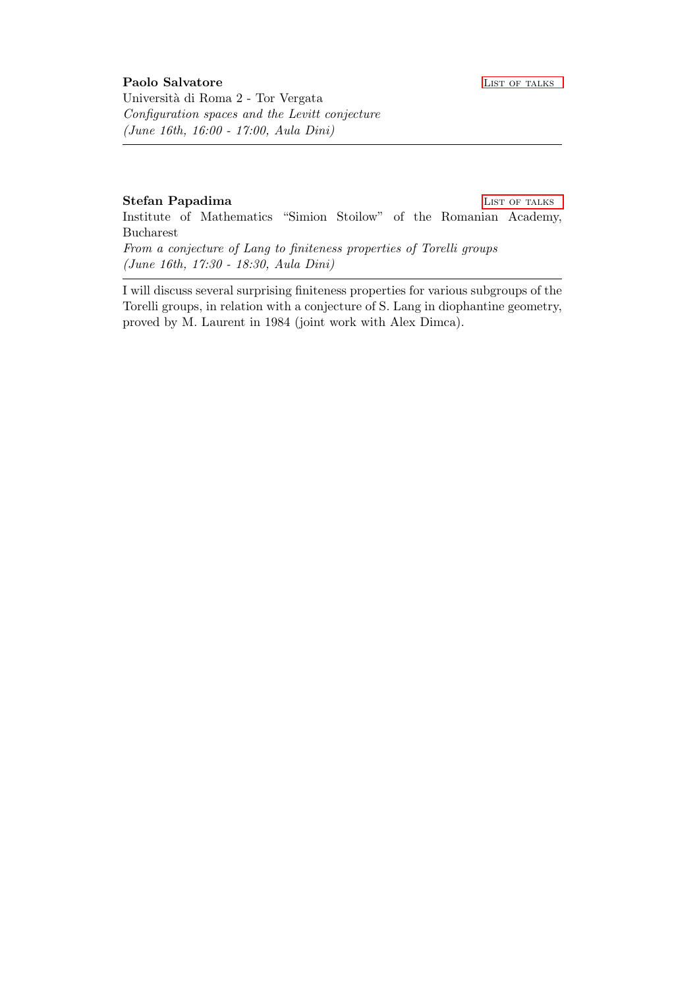#### <span id="page-4-1"></span><span id="page-4-0"></span>Stefan Papadima LIST OF TALKS

Institute of Mathematics "Simion Stoilow" of the Romanian Academy, Bucharest

From a conjecture of Lang to finiteness properties of Torelli groups (June 16th, 17:30 - 18:30, Aula Dini)

I will discuss several surprising finiteness properties for various subgroups of the Torelli groups, in relation with a conjecture of S. Lang in diophantine geometry, proved by M. Laurent in 1984 (joint work with Alex Dimca).